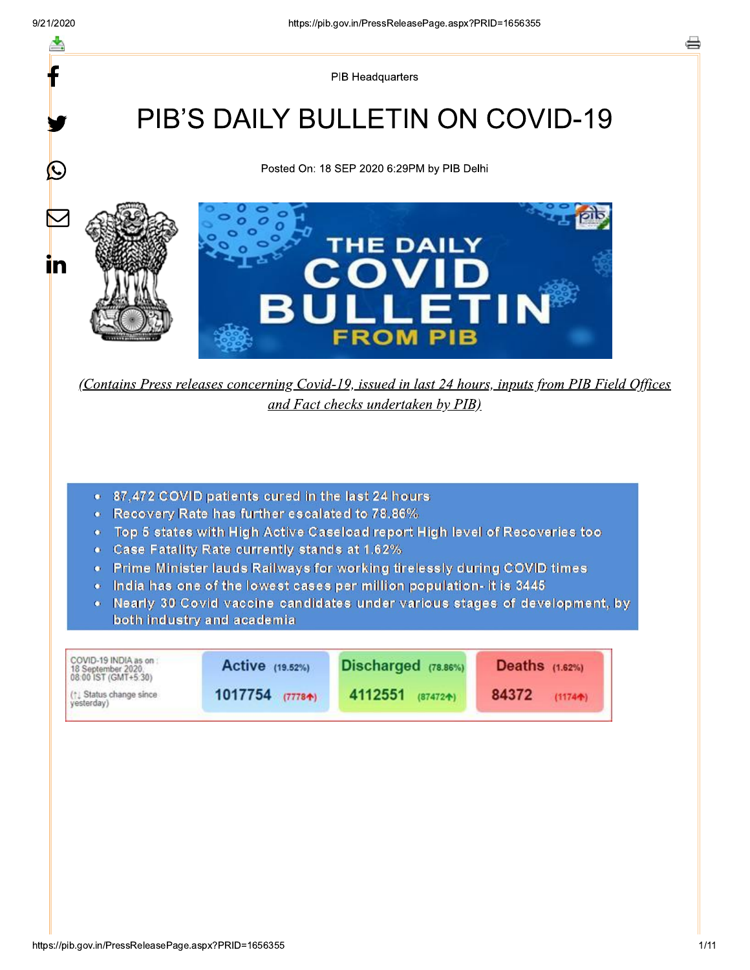$\mathbf{\Omega}$ 

in

PIB Headquarters

# **PIB'S DAILY BULLETIN ON COVID-19**

Posted On: 18 SEP 2020 6:29PM by PIB Delhi



(Contains Press releases concerning Covid-19, issued in last 24 hours, inputs from PIB Field Offices and Fact checks undertaken by PIB)

- . 87,472 COVID patients cured in the last 24 hours
- Recovery Rate has further escalated to 78.86%
- . Top 5 states with High Active Caseload report High level of Recoveries too
- Case Fatality Rate currently stands at 1.62%
- Prime Minister lauds Railways for working tirelessly during COVID times
- India has one of the lowest cases per million population- it is 3445
- Nearly 30 Covid vaccine candidates under various stages of development, by both industry and academia

| COVID-19 INDIA as on :<br>18 September 2020.<br>08:00 IST (GMT+5:30) | Active (19.52%) | Discharged (78.86%) | Deaths $(1.62%)$ |
|----------------------------------------------------------------------|-----------------|---------------------|------------------|
| (1) Status change since                                              | 1017754         | 4112551             | 84372            |
| yesterday)                                                           | (77784)         | (874724)            | $(1174 + )$      |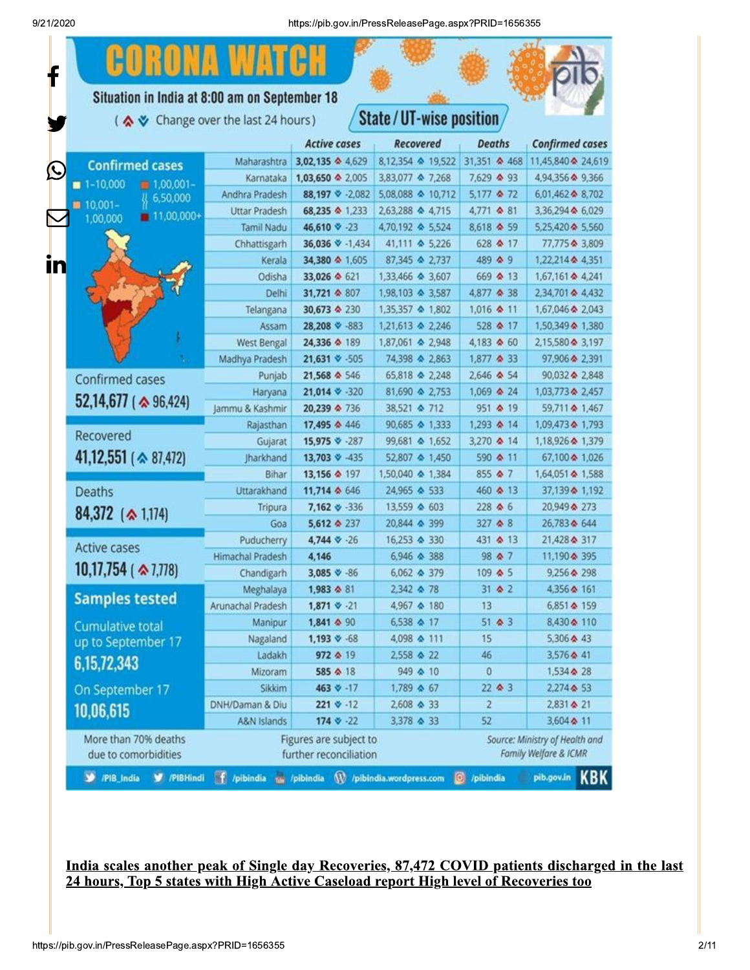

## India scales another peak of Single day Recoveries, 87,472 COVID patients discharged in the last 24 hours, Top 5 states with High Active Caseload report High level of Recoveries too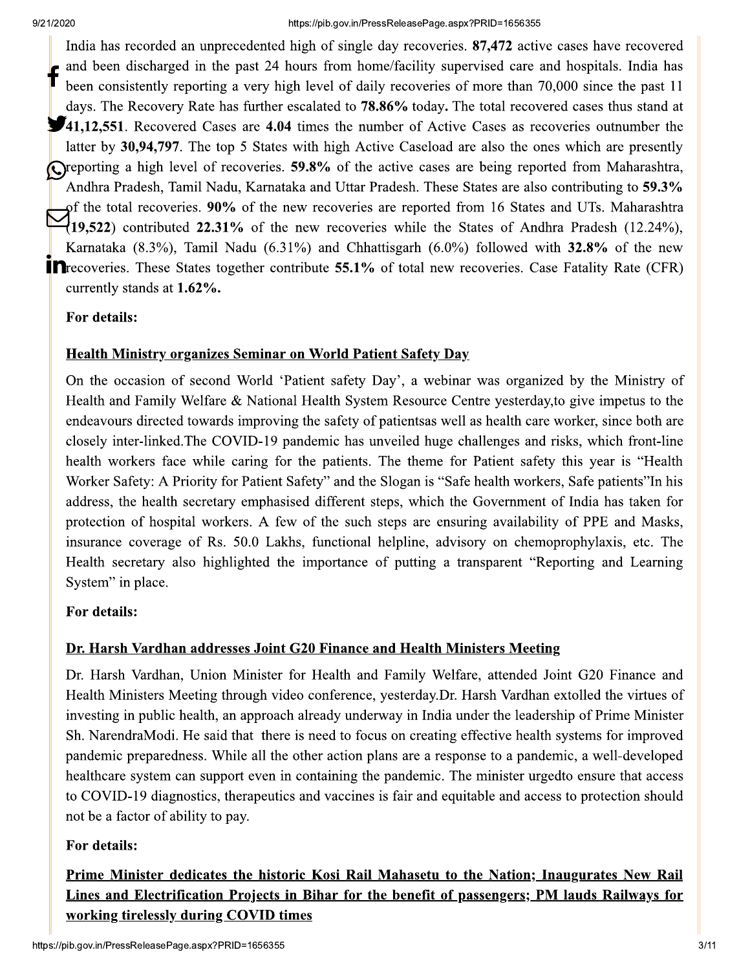India has recorded an unprecedented high of single day recoveries. 87,472 active cases have recovered and been discharged in the past 24 hours from home/facility supervised care and hospitals. India has been consistently reporting a very high level of daily recoveries of more than 70,000 since the past 11 days. The Recovery Rate has further escalated to 78.86% today. The total recovered cases thus stand at **11,12,551**. Recovered Cases are 4.04 times the number of Active Cases as recoveries outnumber the latter by 30,94,797. The top 5 States with high Active Caseload are also the ones which are presently Oreporting a high level of recoveries. 59.8% of the active cases are being reported from Maharashtra, Andhra Pradesh, Tamil Nadu, Karnataka and Uttar Pradesh. These States are also contributing to 59.3% of the total recoveries. 90% of the new recoveries are reported from 16 States and UTs. Maharashtra  $(19,522)$  contributed 22.31% of the new recoveries while the States of Andhra Pradesh (12.24%), Karnataka (8.3%), Tamil Nadu (6.31%) and Chhattisgarh (6.0%) followed with  $32.8\%$  of the new **In** recoveries. These States together contribute 55.1% of total new recoveries. Case Fatality Rate (CFR) currently stands at 1.62%.

# For details:

# **Health Ministry organizes Seminar on World Patient Safety Day**

On the occasion of second World 'Patient safety Day', a webinar was organized by the Ministry of Health and Family Welfare & National Health System Resource Centre yesterday, to give impetus to the endeavours directed towards improving the safety of patientsas well as health care worker, since both are closely inter-linked. The COVID-19 pandemic has unveiled huge challenges and risks, which front-line health workers face while caring for the patients. The theme for Patient safety this year is "Health Worker Safety: A Priority for Patient Safety" and the Slogan is "Safe health workers, Safe patients" In his address, the health secretary emphasised different steps, which the Government of India has taken for protection of hospital workers. A few of the such steps are ensuring availability of PPE and Masks, insurance coverage of Rs. 50.0 Lakhs, functional helpline, advisory on chemoprophylaxis, etc. The Health secretary also highlighted the importance of putting a transparent "Reporting and Learning" System" in place.

# For details:

# Dr. Harsh Vardhan addresses Joint G20 Finance and Health Ministers Meeting

Dr. Harsh Vardhan, Union Minister for Health and Family Welfare, attended Joint G20 Finance and Health Ministers Meeting through video conference, yesterday. Dr. Harsh Vardhan extolled the virtues of investing in public health, an approach already underway in India under the leadership of Prime Minister Sh. NarendraModi. He said that there is need to focus on creating effective health systems for improved pandemic preparedness. While all the other action plans are a response to a pandemic, a well-developed healthcare system can support even in containing the pandemic. The minister urgedto ensure that access to COVID-19 diagnostics, therapeutics and vaccines is fair and equitable and access to protection should not be a factor of ability to pay.

# For details:

Prime Minister dedicates the historic Kosi Rail Mahasetu to the Nation; Inaugurates New Rail Lines and Electrification Projects in Bihar for the benefit of passengers; PM lauds Railways for working tirelessly during COVID times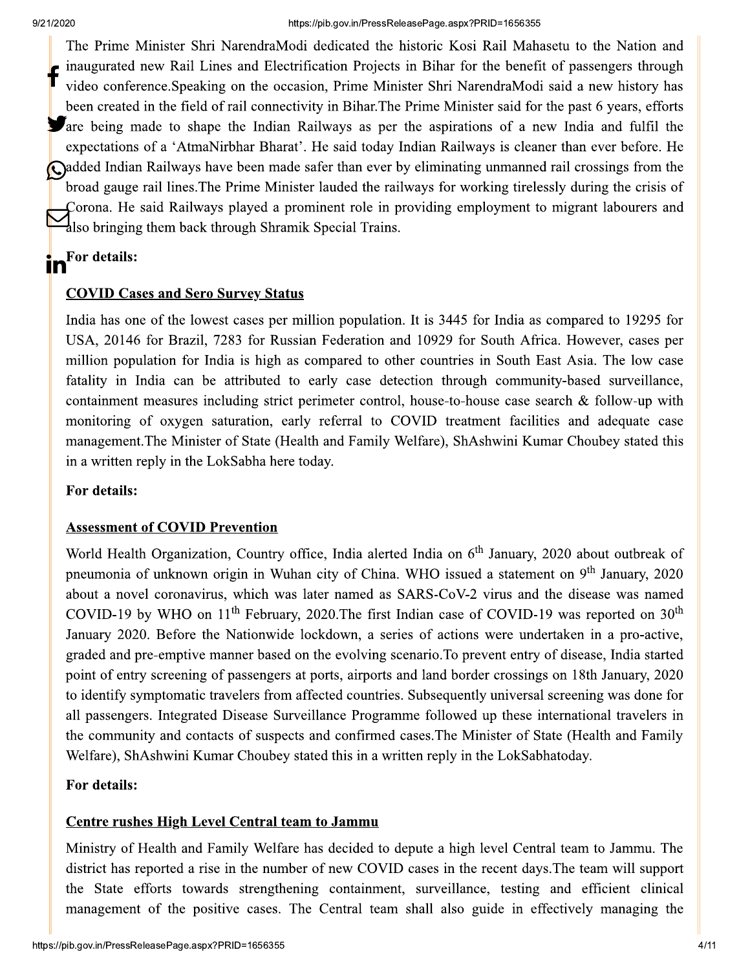The Prime Minister Shri NarendraModi dedicated the historic Kosi Rail Mahasetu to the Nation and inaugurated new Rail Lines and Electrification Projects in Bihar for the benefit of passengers through video conference. Speaking on the occasion, Prime Minister Shri NarendraModi said a new history has been created in the field of rail connectivity in Bihar. The Prime Minister said for the past 6 years, efforts **Solution** and to shape the Indian Railways as per the aspirations of a new India and fulfil the expectations of a 'AtmaNirbhar Bharat'. He said today Indian Railways is cleaner than ever before. He conducted Indian Railways have been made safer than ever by eliminating unmanned rail crossings from the broad gauge rail lines. The Prime Minister lauded the railways for working tirelessly during the crisis of Corona. He said Railways played a prominent role in providing employment to migrant labourers and also bringing them back through Shramik Special Trains.

# in<sup>For details:</sup>

## **COVID Cases and Sero Survey Status**

India has one of the lowest cases per million population. It is 3445 for India as compared to 19295 for USA, 20146 for Brazil, 7283 for Russian Federation and 10929 for South Africa. However, cases per million population for India is high as compared to other countries in South East Asia. The low case fatality in India can be attributed to early case detection through community-based surveillance, containment measures including strict perimeter control, house-to-house case search & follow-up with monitoring of oxygen saturation, early referral to COVID treatment facilities and adequate case management. The Minister of State (Health and Family Welfare), ShAshwini Kumar Choubey stated this in a written reply in the LokSabha here today.

### For details:

### **Assessment of COVID Prevention**

World Health Organization, Country office, India alerted India on 6<sup>th</sup> January, 2020 about outbreak of pneumonia of unknown origin in Wuhan city of China. WHO issued a statement on 9<sup>th</sup> January, 2020 about a novel coronavirus, which was later named as SARS-CoV-2 virus and the disease was named COVID-19 by WHO on  $11<sup>th</sup>$  February, 2020. The first Indian case of COVID-19 was reported on  $30<sup>th</sup>$ January 2020. Before the Nationwide lockdown, a series of actions were undertaken in a pro-active, graded and pre-emptive manner based on the evolving scenario. To prevent entry of disease, India started point of entry screening of passengers at ports, airports and land border crossings on 18th January, 2020 to identify symptomatic travelers from affected countries. Subsequently universal screening was done for all passengers. Integrated Disease Surveillance Programme followed up these international travelers in the community and contacts of suspects and confirmed cases. The Minister of State (Health and Family Welfare), ShAshwini Kumar Choubey stated this in a written reply in the LokSabhatoday.

## For details:

## **Centre rushes High Level Central team to Jammu**

Ministry of Health and Family Welfare has decided to depute a high level Central team to Jammu. The district has reported a rise in the number of new COVID cases in the recent days. The team will support the State efforts towards strengthening containment, surveillance, testing and efficient clinical management of the positive cases. The Central team shall also guide in effectively managing the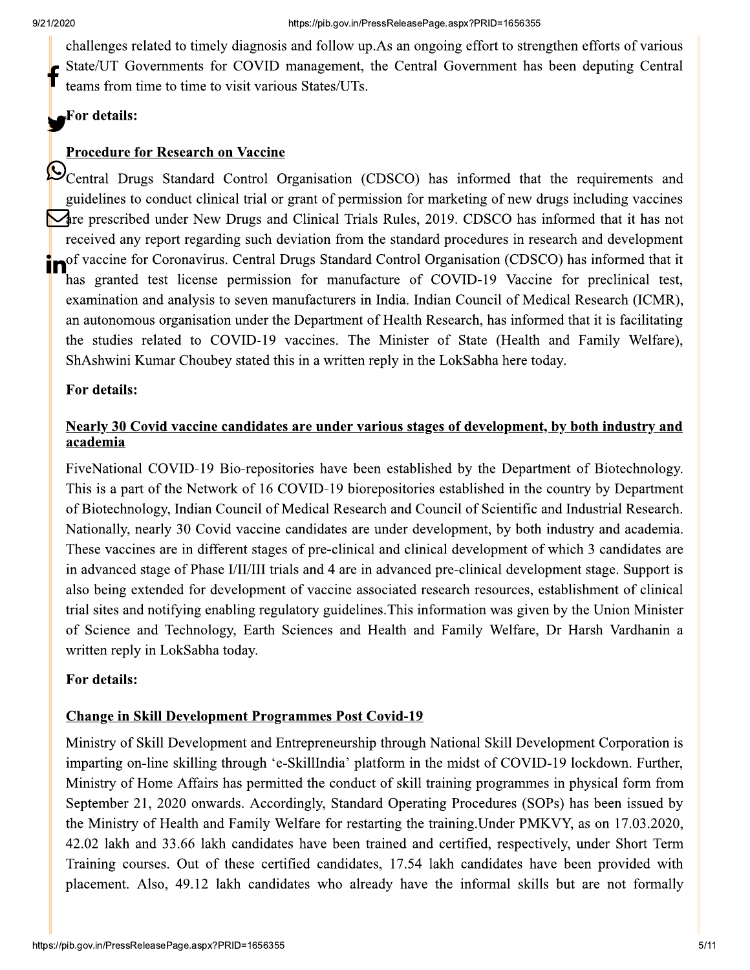challenges related to timely diagnosis and follow up. As an ongoing effort to strengthen efforts of various State/UT Governments for COVID management, the Central Government has been deputing Central teams from time to time to visit various States/UTs.

# For details:

# **Procedure for Research on Vaccine**

Central Drugs Standard Control Organisation (CDSCO) has informed that the requirements and guidelines to conduct clinical trial or grant of permission for marketing of new drugs including vaccines Are prescribed under New Drugs and Clinical Trials Rules, 2019. CDSCO has informed that it has not received any report regarding such deviation from the standard procedures in research and development nof vaccine for Coronavirus. Central Drugs Standard Control Organisation (CDSCO) has informed that it has granted test license permission for manufacture of COVID-19 Vaccine for preclinical test, examination and analysis to seven manufacturers in India. Indian Council of Medical Research (ICMR), an autonomous organisation under the Department of Health Research, has informed that it is facilitating the studies related to COVID-19 vaccines. The Minister of State (Health and Family Welfare), ShAshwini Kumar Choubey stated this in a written reply in the LokSabha here today.

## For details:

# Nearly 30 Covid vaccine candidates are under various stages of development, by both industry and academia

FiveNational COVID-19 Bio-repositories have been established by the Department of Biotechnology. This is a part of the Network of 16 COVID-19 biorepositories established in the country by Department of Biotechnology, Indian Council of Medical Research and Council of Scientific and Industrial Research. Nationally, nearly 30 Covid vaccine candidates are under development, by both industry and academia. These vaccines are in different stages of pre-clinical and clinical development of which 3 candidates are in advanced stage of Phase I/II/III trials and 4 are in advanced pre-clinical development stage. Support is also being extended for development of vaccine associated research resources, establishment of clinical trial sites and notifying enabling regulatory guidelines. This information was given by the Union Minister of Science and Technology, Earth Sciences and Health and Family Welfare, Dr Harsh Vardhanin a written reply in LokSabha today.

## For details:

## **Change in Skill Development Programmes Post Covid-19**

Ministry of Skill Development and Entrepreneurship through National Skill Development Corporation is imparting on-line skilling through 'e-SkillIndia' platform in the midst of COVID-19 lockdown. Further, Ministry of Home Affairs has permitted the conduct of skill training programmes in physical form from September 21, 2020 onwards. Accordingly, Standard Operating Procedures (SOPs) has been issued by the Ministry of Health and Family Welfare for restarting the training. Under PMKVY, as on 17.03.2020, 42.02 lakh and 33.66 lakh candidates have been trained and certified, respectively, under Short Term Training courses. Out of these certified candidates, 17.54 lakh candidates have been provided with placement. Also, 49.12 lakh candidates who already have the informal skills but are not formally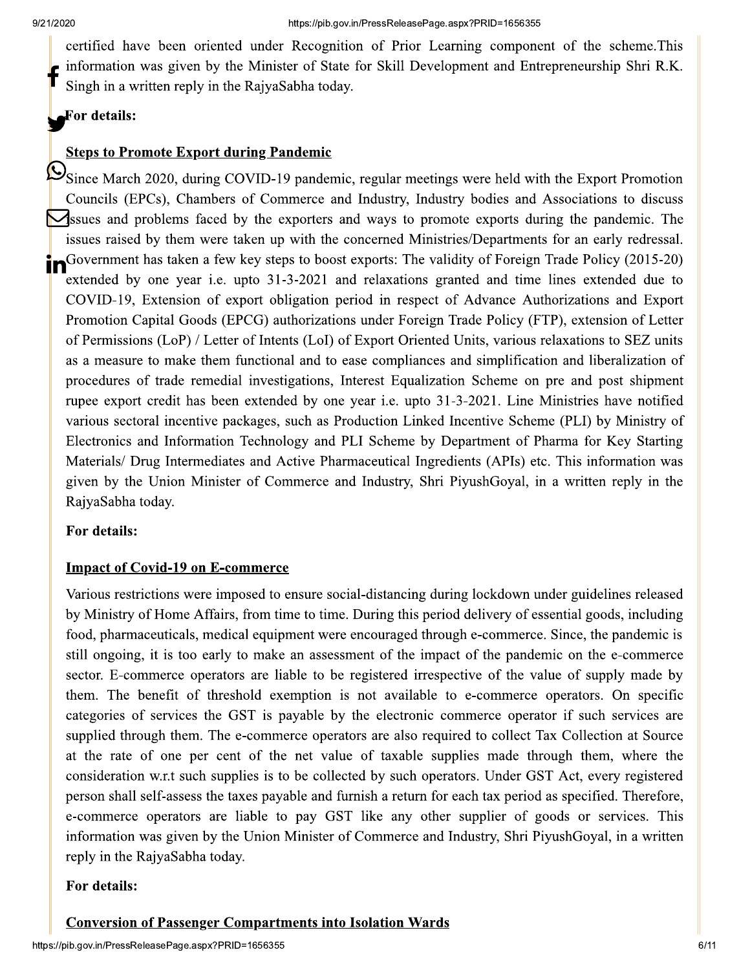certified have been oriented under Recognition of Prior Learning component of the scheme. This information was given by the Minister of State for Skill Development and Entrepreneurship Shri R.K. Singh in a written reply in the RaivaSabha today.

#### For details:

#### **Steps to Promote Export during Pandemic**

Since March 2020, during COVID-19 pandemic, regular meetings were held with the Export Promotion Councils (EPCs), Chambers of Commerce and Industry, Industry bodies and Associations to discuss **Net** suck and problems faced by the exporters and ways to promote exports during the pandemic. The issues raised by them were taken up with the concerned Ministries/Departments for an early redressal. in Government has taken a few key steps to boost exports: The validity of Foreign Trade Policy (2015-20) extended by one year i.e. upto 31-3-2021 and relaxations granted and time lines extended due to COVID-19, Extension of export obligation period in respect of Advance Authorizations and Export Promotion Capital Goods (EPCG) authorizations under Foreign Trade Policy (FTP), extension of Letter of Permissions (LoP) / Letter of Intents (LoI) of Export Oriented Units, various relaxations to SEZ units as a measure to make them functional and to ease compliances and simplification and liberalization of procedures of trade remedial investigations, Interest Equalization Scheme on pre and post shipment rupee export credit has been extended by one year i.e. upto 31-3-2021. Line Ministries have notified various sectoral incentive packages, such as Production Linked Incentive Scheme (PLI) by Ministry of Electronics and Information Technology and PLI Scheme by Department of Pharma for Key Starting Materials/ Drug Intermediates and Active Pharmaceutical Ingredients (APIs) etc. This information was given by the Union Minister of Commerce and Industry, Shri PiyushGoyal, in a written reply in the RajyaSabha today.

#### For details:

#### **Impact of Covid-19 on E-commerce**

Various restrictions were imposed to ensure social-distancing during lockdown under guidelines released by Ministry of Home Affairs, from time to time. During this period delivery of essential goods, including food, pharmaceuticals, medical equipment were encouraged through e-commerce. Since, the pandemic is still ongoing, it is too early to make an assessment of the impact of the pandemic on the e-commerce sector. E-commerce operators are liable to be registered irrespective of the value of supply made by them. The benefit of threshold exemption is not available to e-commerce operators. On specific categories of services the GST is payable by the electronic commerce operator if such services are supplied through them. The e-commerce operators are also required to collect Tax Collection at Source at the rate of one per cent of the net value of taxable supplies made through them, where the consideration w.r.t such supplies is to be collected by such operators. Under GST Act, every registered person shall self-assess the taxes payable and furnish a return for each tax period as specified. Therefore, e-commerce operators are liable to pay GST like any other supplier of goods or services. This information was given by the Union Minister of Commerce and Industry, Shri PiyushGoyal, in a written reply in the RajyaSabha today.

#### For details:

## **Conversion of Passenger Compartments into Isolation Wards**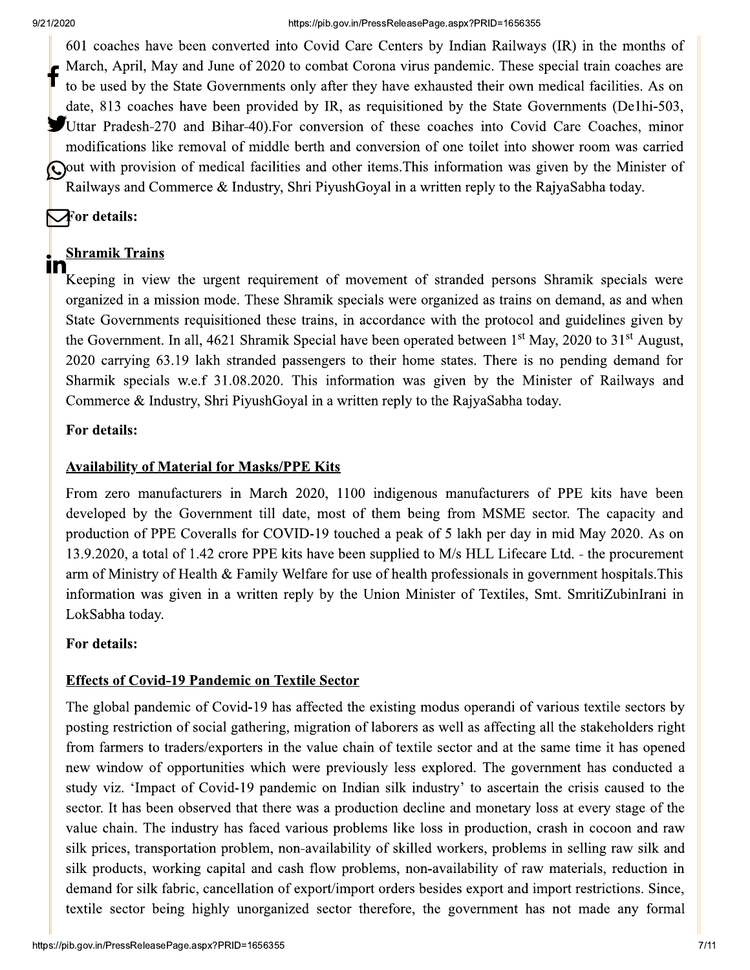601 coaches have been converted into Covid Care Centers by Indian Railways (IR) in the months of March, April, May and June of 2020 to combat Corona virus pandemic. These special train coaches are to be used by the State Governments only after they have exhausted their own medical facilities. As on date, 813 coaches have been provided by IR, as requisitioned by the State Governments (De1hi-503, Uttar Pradesh-270 and Bihar-40). For conversion of these coaches into Covid Care Coaches, minor modifications like removal of middle berth and conversion of one toilet into shower room was carried Q out with provision of medical facilities and other items. This information was given by the Minister of Railways and Commerce & Industry, Shri PiyushGoyal in a written reply to the RajyaSabha today.

# $\nabla$  for details:

#### **Shramik Trains** In

Keeping in view the urgent requirement of movement of stranded persons Shramik specials were organized in a mission mode. These Shramik specials were organized as trains on demand, as and when State Governments requisitioned these trains, in accordance with the protocol and guidelines given by the Government. In all, 4621 Shramik Special have been operated between  $1<sup>st</sup>$  May, 2020 to 31<sup>st</sup> August, 2020 carrying 63.19 lakh stranded passengers to their home states. There is no pending demand for Sharmik specials w.e.f 31.08.2020. This information was given by the Minister of Railways and Commerce & Industry, Shri PiyushGoyal in a written reply to the RajyaSabha today.

# For details:

# **Availability of Material for Masks/PPE Kits**

From zero manufacturers in March 2020, 1100 indigenous manufacturers of PPE kits have been developed by the Government till date, most of them being from MSME sector. The capacity and production of PPE Coveralls for COVID-19 touched a peak of 5 lakh per day in mid May 2020. As on 13.9.2020, a total of 1.42 crore PPE kits have been supplied to M/s HLL Lifecare Ltd. - the procurement arm of Ministry of Health & Family Welfare for use of health professionals in government hospitals. This information was given in a written reply by the Union Minister of Textiles, Smt. SmritiZubinIrani in LokSabha today.

# For details:

# **Effects of Covid-19 Pandemic on Textile Sector**

The global pandemic of Covid-19 has affected the existing modus operandi of various textile sectors by posting restriction of social gathering, migration of laborers as well as affecting all the stakeholders right from farmers to traders/exporters in the value chain of textile sector and at the same time it has opened new window of opportunities which were previously less explored. The government has conducted a study viz. 'Impact of Covid-19 pandemic on Indian silk industry' to ascertain the crisis caused to the sector. It has been observed that there was a production decline and monetary loss at every stage of the value chain. The industry has faced various problems like loss in production, crash in cocoon and raw silk prices, transportation problem, non-availability of skilled workers, problems in selling raw silk and silk products, working capital and cash flow problems, non-availability of raw materials, reduction in demand for silk fabric, cancellation of export/import orders besides export and import restrictions. Since, textile sector being highly unorganized sector therefore, the government has not made any formal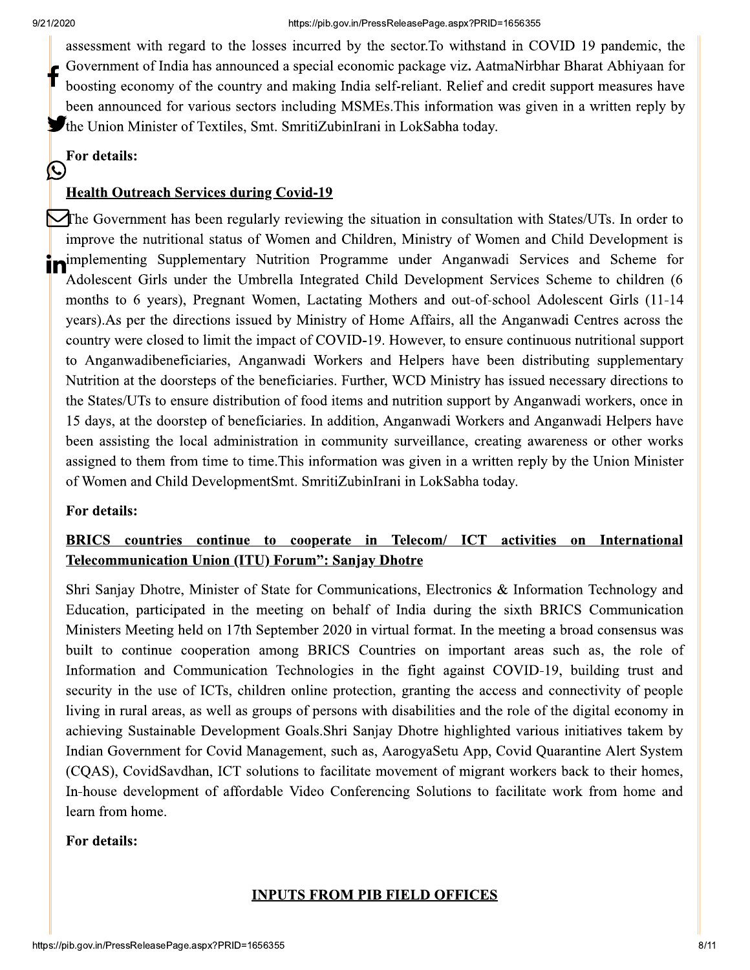assessment with regard to the losses incurred by the sector. To withstand in COVID 19 pandemic, the Government of India has announced a special economic package viz. AatmaNirbhar Bharat Abhiyaan for boosting economy of the country and making India self-reliant. Relief and credit support measures have been announced for various sectors including MSMEs. This information was given in a written reply by The Union Minister of Textiles, Smt. SmritiZubinIrani in LokSabha today.

#### For details: (C

# **Health Outreach Services during Covid-19**

The Government has been regularly reviewing the situation in consultation with States/UTs. In order to improve the nutritional status of Women and Children, Ministry of Women and Child Development is implementing Supplementary Nutrition Programme under Anganwadi Services and Scheme for Adolescent Girls under the Umbrella Integrated Child Development Services Scheme to children (6 months to 6 years), Pregnant Women, Lactating Mothers and out-of-school Adolescent Girls (11-14 years). As per the directions issued by Ministry of Home Affairs, all the Anganwadi Centres across the country were closed to limit the impact of COVID-19. However, to ensure continuous nutritional support to Anganwadibeneficiaries, Anganwadi Workers and Helpers have been distributing supplementary Nutrition at the doorsteps of the beneficiaries. Further, WCD Ministry has issued necessary directions to the States/UTs to ensure distribution of food items and nutrition support by Anganwadi workers, once in 15 days, at the doorstep of beneficiaries. In addition, Anganwadi Workers and Anganwadi Helpers have been assisting the local administration in community surveillance, creating awareness or other works assigned to them from time to time. This information was given in a written reply by the Union Minister of Women and Child DevelopmentSmt. SmritiZubinIrani in LokSabha today.

## For details:

# BRICS countries continue to cooperate in Telecom/ ICT activities on International Telecommunication Union (ITU) Forum": Sanjay Dhotre

Shri Sanjay Dhotre, Minister of State for Communications, Electronics & Information Technology and Education, participated in the meeting on behalf of India during the sixth BRICS Communication Ministers Meeting held on 17th September 2020 in virtual format. In the meeting a broad consensus was built to continue cooperation among BRICS Countries on important areas such as, the role of Information and Communication Technologies in the fight against COVID-19, building trust and security in the use of ICTs, children online protection, granting the access and connectivity of people living in rural areas, as well as groups of persons with disabilities and the role of the digital economy in achieving Sustainable Development Goals. Shri Sanjay Dhotre highlighted various initiatives takem by Indian Government for Covid Management, such as, AarogyaSetu App, Covid Quarantine Alert System (CQAS), CovidSavdhan, ICT solutions to facilitate movement of migrant workers back to their homes, In-house development of affordable Video Conferencing Solutions to facilitate work from home and learn from home.

## For details:

## **INPUTS FROM PIB FIELD OFFICES**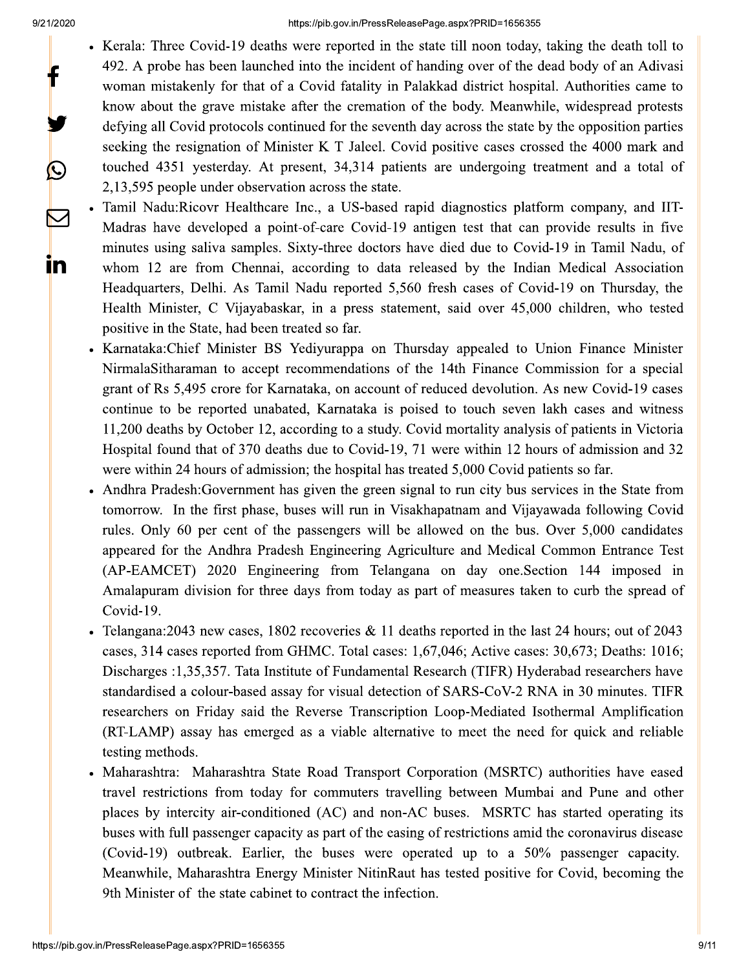f

 $\bigcirc$ 

 $\color{red}\nabla$ 

<u>in</u>

- Kerala: Three Covid-19 deaths were reported in the state till noon today, taking the death toll to 492. A probe has been launched into the incident of handing over of the dead body of an Adivasi woman mistakenly for that of a Covid fatality in Palakkad district hospital. Authorities came to know about the grave mistake after the cremation of the body. Meanwhile, widespread protests defying all Covid protocols continued for the seventh day across the state by the opposition parties seeking the resignation of Minister K T Jaleel. Covid positive cases crossed the 4000 mark and touched 4351 yesterday. At present, 34,314 patients are undergoing treatment and a total of 2,13,595 people under observation across the state.
- Tamil Nadu:Ricovr Healthcare Inc., a US-based rapid diagnostics platform company, and IIT-Madras have developed a point-of-care Covid-19 antigen test that can provide results in five minutes using saliva samples. Sixty-three doctors have died due to Covid-19 in Tamil Nadu, of whom 12 are from Chennai, according to data released by the Indian Medical Association Headquarters, Delhi. As Tamil Nadu reported 5,560 fresh cases of Covid-19 on Thursday, the Health Minister, C Vijayabaskar, in a press statement, said over 45,000 children, who tested positive in the State, had been treated so far.
	- Karnataka: Chief Minister BS Yediyurappa on Thursday appealed to Union Finance Minister NirmalaSitharaman to accept recommendations of the 14th Finance Commission for a special grant of Rs 5,495 crore for Karnataka, on account of reduced devolution. As new Covid-19 cases continue to be reported unabated, Karnataka is poised to touch seven lakh cases and witness 11,200 deaths by October 12, according to a study. Covid mortality analysis of patients in Victoria Hospital found that of 370 deaths due to Covid-19, 71 were within 12 hours of admission and 32 were within 24 hours of admission; the hospital has treated 5,000 Covid patients so far.
- Andhra Pradesh: Government has given the green signal to run city bus services in the State from tomorrow. In the first phase, buses will run in Visakhapatnam and Vijayawada following Covid rules. Only 60 per cent of the passengers will be allowed on the bus. Over 5,000 candidates appeared for the Andhra Pradesh Engineering Agriculture and Medical Common Entrance Test (AP-EAMCET) 2020 Engineering from Telangana on day one Section 144 imposed in Amalapuram division for three days from today as part of measures taken to curb the spread of Covid-19.
- Telangana: 2043 new cases, 1802 recoveries & 11 deaths reported in the last 24 hours; out of 2043 cases, 314 cases reported from GHMC. Total cases: 1,67,046; Active cases: 30,673; Deaths: 1016; Discharges :1,35,357. Tata Institute of Fundamental Research (TIFR) Hyderabad researchers have standardised a colour-based assay for visual detection of SARS-CoV-2 RNA in 30 minutes. TIFR researchers on Friday said the Reverse Transcription Loop-Mediated Isothermal Amplification (RT-LAMP) assay has emerged as a viable alternative to meet the need for quick and reliable testing methods.
- Maharashtra: Maharashtra State Road Transport Corporation (MSRTC) authorities have eased travel restrictions from today for commuters travelling between Mumbai and Pune and other places by intercity air-conditioned (AC) and non-AC buses. MSRTC has started operating its buses with full passenger capacity as part of the easing of restrictions amid the coronavirus disease (Covid-19) outbreak. Earlier, the buses were operated up to a 50% passenger capacity. Meanwhile, Maharashtra Energy Minister NitinRaut has tested positive for Covid, becoming the 9th Minister of the state cabinet to contract the infection.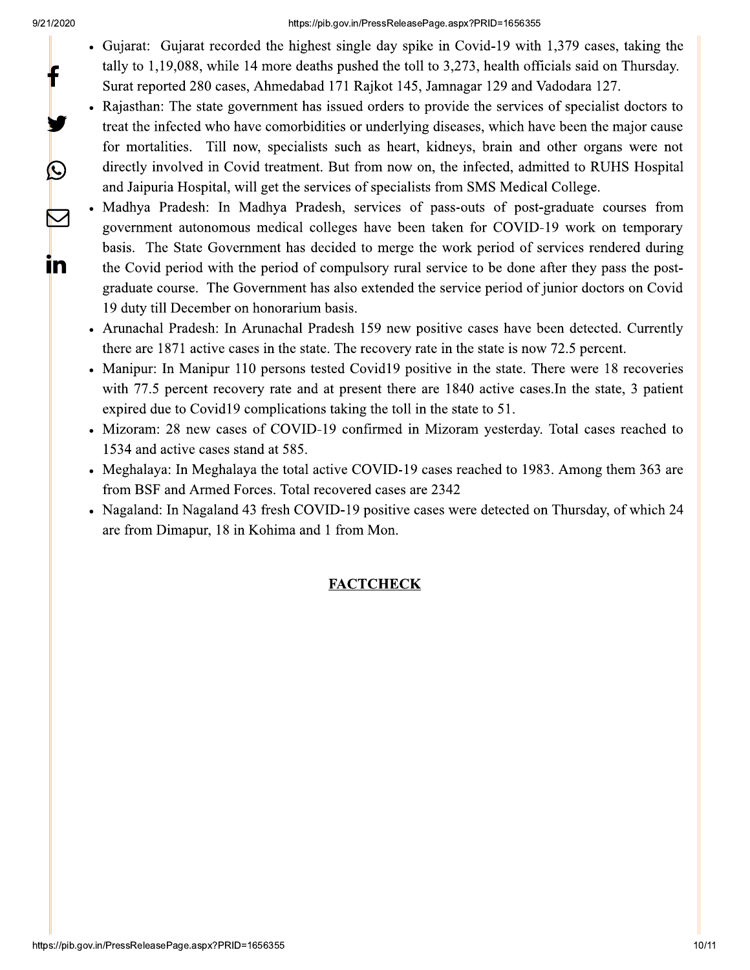f

 $\mathbf{C}$ 

 $\sum$ 

<u>in</u>

#### https://pib.qov.in/PressReleasePage.aspx?PRID=1656355

- Gujarat: Gujarat recorded the highest single day spike in Covid-19 with 1,379 cases, taking the tally to 1,19,088, while 14 more deaths pushed the toll to 3,273, health officials said on Thursday. Surat reported 280 cases, Ahmedabad 171 Rajkot 145, Jamnagar 129 and Vadodara 127.
- Rajasthan: The state government has issued orders to provide the services of specialist doctors to treat the infected who have comorbidities or underlying diseases, which have been the major cause for mortalities. Till now, specialists such as heart, kidneys, brain and other organs were not directly involved in Covid treatment. But from now on, the infected, admitted to RUHS Hospital and Jaipuria Hospital, will get the services of specialists from SMS Medical College.
- Madhya Pradesh: In Madhya Pradesh, services of pass-outs of post-graduate courses from government autonomous medical colleges have been taken for COVID-19 work on temporary basis. The State Government has decided to merge the work period of services rendered during the Covid period with the period of compulsory rural service to be done after they pass the postgraduate course. The Government has also extended the service period of junior doctors on Covid 19 duty till December on honorarium basis.
- Arunachal Pradesh: In Arunachal Pradesh 159 new positive cases have been detected. Currently there are 1871 active cases in the state. The recovery rate in the state is now 72.5 percent.
- Manipur: In Manipur 110 persons tested Covid19 positive in the state. There were 18 recoveries with 77.5 percent recovery rate and at present there are 1840 active cases. In the state, 3 patient expired due to Covid19 complications taking the toll in the state to 51.
- Mizoram: 28 new cases of COVID-19 confirmed in Mizoram yesterday. Total cases reached to 1534 and active cases stand at 585.
- Meghalaya: In Meghalaya the total active COVID-19 cases reached to 1983. Among them 363 are from BSF and Armed Forces. Total recovered cases are 2342
- Nagaland: In Nagaland 43 fresh COVID-19 positive cases were detected on Thursday, of which 24 are from Dimapur, 18 in Kohima and 1 from Mon.

# **FACTCHECK**